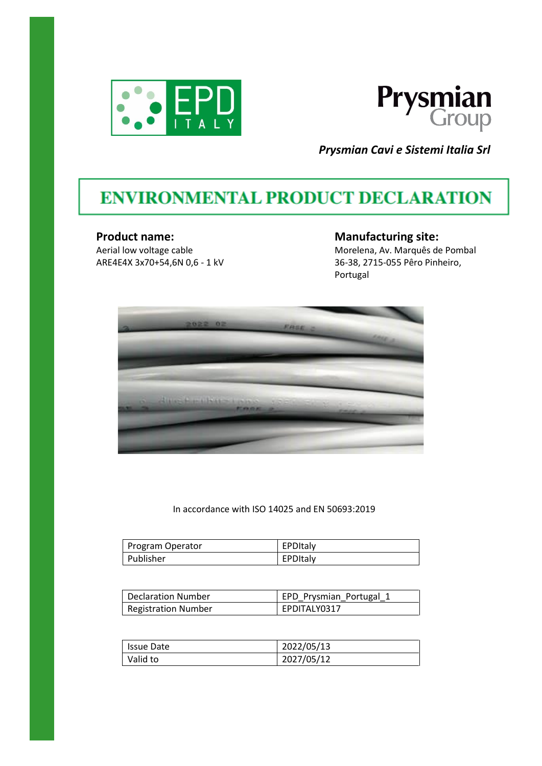



*Prysmian Cavi e Sistemi Italia Srl*

# **ENVIRONMENTAL PRODUCT DECLARATION**

#### **Product name:**

Aerial low voltage cable ARE4E4X 3x70+54,6N 0,6 - 1 kV **Manufacturing site:** Morelena, Av. Marquês de Pombal 36-38, 2715-055 Pêro Pinheiro, Portugal



In accordance with ISO 14025 and EN 50693:2019

| Program Operator | EPDItaly |
|------------------|----------|
| Publisher        | EPDItaly |

| Declaration Number         | EPD_Prysmian_Portugal_1 |
|----------------------------|-------------------------|
| <b>Registration Number</b> | EPDITALY0317            |

| Issue Date | 2022/05/13 |
|------------|------------|
| Valid to   | 2027/05/12 |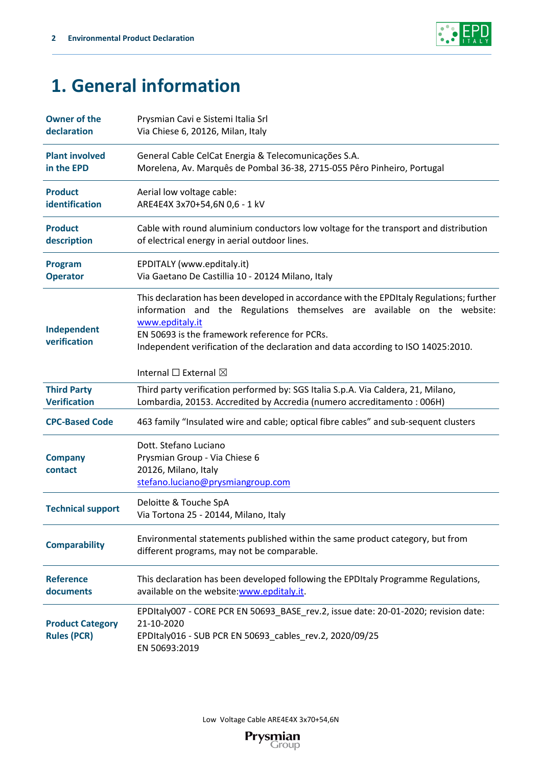

# **1. General information**

| <b>Owner of the</b>                           | Prysmian Cavi e Sistemi Italia Srl                                                                                                                                                                                                                                                                                                                                     |
|-----------------------------------------------|------------------------------------------------------------------------------------------------------------------------------------------------------------------------------------------------------------------------------------------------------------------------------------------------------------------------------------------------------------------------|
| declaration                                   | Via Chiese 6, 20126, Milan, Italy                                                                                                                                                                                                                                                                                                                                      |
| <b>Plant involved</b>                         | General Cable CelCat Energia & Telecomunicações S.A.                                                                                                                                                                                                                                                                                                                   |
| in the EPD                                    | Morelena, Av. Marquês de Pombal 36-38, 2715-055 Pêro Pinheiro, Portugal                                                                                                                                                                                                                                                                                                |
| <b>Product</b>                                | Aerial low voltage cable:                                                                                                                                                                                                                                                                                                                                              |
| identification                                | ARE4E4X 3x70+54,6N 0,6 - 1 kV                                                                                                                                                                                                                                                                                                                                          |
| <b>Product</b>                                | Cable with round aluminium conductors low voltage for the transport and distribution                                                                                                                                                                                                                                                                                   |
| description                                   | of electrical energy in aerial outdoor lines.                                                                                                                                                                                                                                                                                                                          |
| <b>Program</b>                                | EPDITALY (www.epditaly.it)                                                                                                                                                                                                                                                                                                                                             |
| <b>Operator</b>                               | Via Gaetano De Castillia 10 - 20124 Milano, Italy                                                                                                                                                                                                                                                                                                                      |
| Independent<br>verification                   | This declaration has been developed in accordance with the EPDItaly Regulations; further<br>information and the Regulations themselves are available on the website:<br>www.epditaly.it<br>EN 50693 is the framework reference for PCRs.<br>Independent verification of the declaration and data according to ISO 14025:2010.<br>Internal $\square$ External $\square$ |
| <b>Third Party</b>                            | Third party verification performed by: SGS Italia S.p.A. Via Caldera, 21, Milano,                                                                                                                                                                                                                                                                                      |
| <b>Verification</b>                           | Lombardia, 20153. Accredited by Accredia (numero accreditamento: 006H)                                                                                                                                                                                                                                                                                                 |
| <b>CPC-Based Code</b>                         | 463 family "Insulated wire and cable; optical fibre cables" and sub-sequent clusters                                                                                                                                                                                                                                                                                   |
| <b>Company</b><br>contact                     | Dott. Stefano Luciano<br>Prysmian Group - Via Chiese 6<br>20126, Milano, Italy<br>stefano.luciano@prysmiangroup.com                                                                                                                                                                                                                                                    |
| <b>Technical support</b>                      | Deloitte & Touche SpA<br>Via Tortona 25 - 20144, Milano, Italy                                                                                                                                                                                                                                                                                                         |
| <b>Comparability</b>                          | Environmental statements published within the same product category, but from<br>different programs, may not be comparable.                                                                                                                                                                                                                                            |
| <b>Reference</b>                              | This declaration has been developed following the EPDItaly Programme Regulations,                                                                                                                                                                                                                                                                                      |
| documents                                     | available on the website: www.epditaly.it.                                                                                                                                                                                                                                                                                                                             |
| <b>Product Category</b><br><b>Rules (PCR)</b> | EPDItaly007 - CORE PCR EN 50693_BASE_rev.2, issue date: 20-01-2020; revision date:<br>21-10-2020<br>EPDItaly016 - SUB PCR EN 50693_cables_rev.2, 2020/09/25<br>EN 50693:2019                                                                                                                                                                                           |

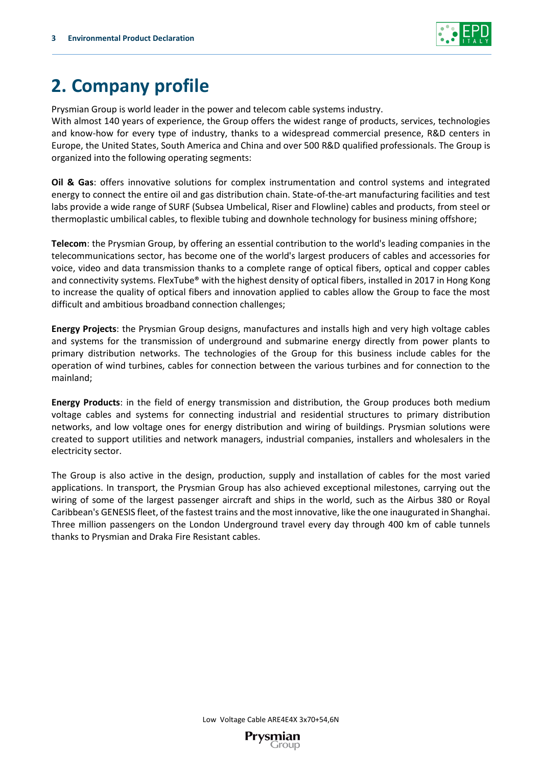

# **2. Company profile**

Prysmian Group is world leader in the power and telecom cable systems industry.

With almost 140 years of experience, the Group offers the widest range of products, services, technologies and know-how for every type of industry, thanks to a widespread commercial presence, R&D centers in Europe, the United States, South America and China and over 500 R&D qualified professionals. The Group is organized into the following operating segments:

**Oil & Gas**: offers innovative solutions for complex instrumentation and control systems and integrated energy to connect the entire oil and gas distribution chain. State-of-the-art manufacturing facilities and test labs provide a wide range of SURF (Subsea Umbelical, Riser and Flowline) cables and products, from steel or thermoplastic umbilical cables, to flexible tubing and downhole technology for business mining offshore;

**Telecom**: the Prysmian Group, by offering an essential contribution to the world's leading companies in the telecommunications sector, has become one of the world's largest producers of cables and accessories for voice, video and data transmission thanks to a complete range of optical fibers, optical and copper cables and connectivity systems. FlexTube® with the highest density of optical fibers, installed in 2017 in Hong Kong to increase the quality of optical fibers and innovation applied to cables allow the Group to face the most difficult and ambitious broadband connection challenges;

**Energy Projects**: the Prysmian Group designs, manufactures and installs high and very high voltage cables and systems for the transmission of underground and submarine energy directly from power plants to primary distribution networks. The technologies of the Group for this business include cables for the operation of wind turbines, cables for connection between the various turbines and for connection to the mainland;

**Energy Products**: in the field of energy transmission and distribution, the Group produces both medium voltage cables and systems for connecting industrial and residential structures to primary distribution networks, and low voltage ones for energy distribution and wiring of buildings. Prysmian solutions were created to support utilities and network managers, industrial companies, installers and wholesalers in the electricity sector.

The Group is also active in the design, production, supply and installation of cables for the most varied applications. In transport, the Prysmian Group has also achieved exceptional milestones, carrying out the wiring of some of the largest passenger aircraft and ships in the world, such as the Airbus 380 or Royal Caribbean's GENESIS fleet, of the fastest trains and the most innovative, like the one inaugurated in Shanghai. Three million passengers on the London Underground travel every day through 400 km of cable tunnels thanks to Prysmian and Draka Fire Resistant cables.

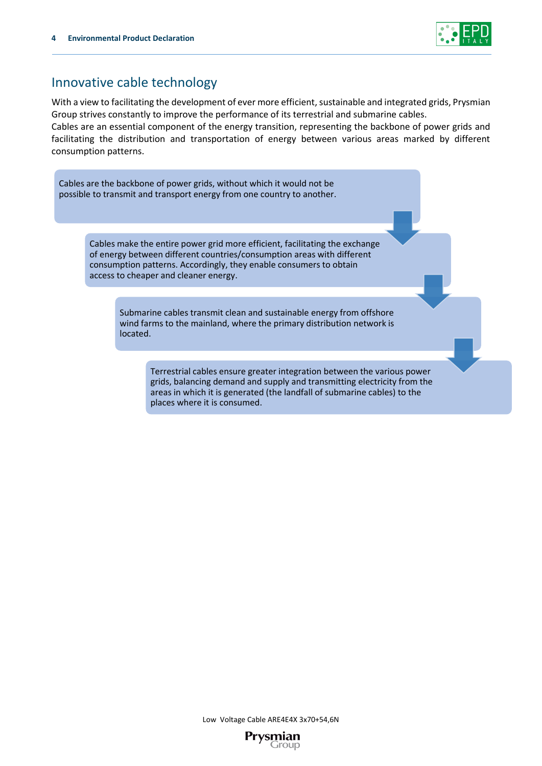

## Innovative cable technology

With a view to facilitating the development of ever more efficient, sustainable and integrated grids, Prysmian Group strives constantly to improve the performance of its terrestrial and submarine cables.

Cables are an essential component of the energy transition, representing the backbone of power grids and facilitating the distribution and transportation of energy between various areas marked by different consumption patterns.

Cables are the backbone of power grids, without which it would not be possible to transmit and transport energy from one country to another.

> Cables make the entire power grid more efficient, facilitating the exchange of energy between different countries/consumption areas with different consumption patterns. Accordingly, they enable consumers to obtain access to cheaper and cleaner energy.

> > Submarine cables transmit clean and sustainable energy from offshore wind farms to the mainland, where the primary distribution network is located.

> > > Terrestrial cables ensure greater integration between the various power grids, balancing demand and supply and transmitting electricity from the areas in which it is generated (the landfall of submarine cables) to the places where it is consumed.

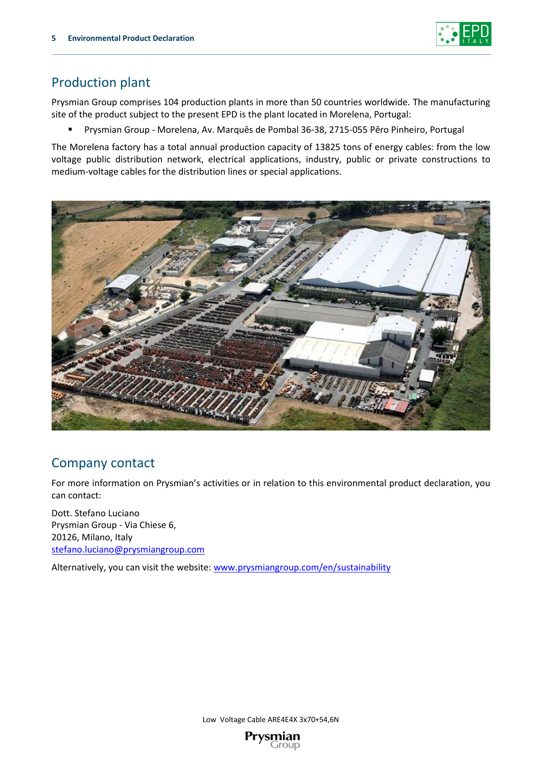

## Production plant

Prysmian Group comprises 104 production plants in more than 50 countries worldwide. The manufacturing site of the product subject to the present EPD is the plant located in Morelena, Portugal:

▪ Prysmian Group - Morelena, Av. Marquês de Pombal 36-38, 2715-055 Pêro Pinheiro, Portugal

The Morelena factory has a total annual production capacity of 13825 tons of energy cables: from the low voltage public distribution network, electrical applications, industry, public or private constructions to medium-voltage cables for the distribution lines or special applications.



## Company contact

For more information on Prysmian's activities or in relation to this environmental product declaration, you can contact:

Dott. Stefano Luciano Prysmian Group - Via Chiese 6, 20126, Milano, Italy stefano.luciano@prysmiangroup.com

Alternatively, you can visit the website[: www.prysmiangroup.com/en/sustainability](http://www.prysmiangroup.com/en/sustainability)

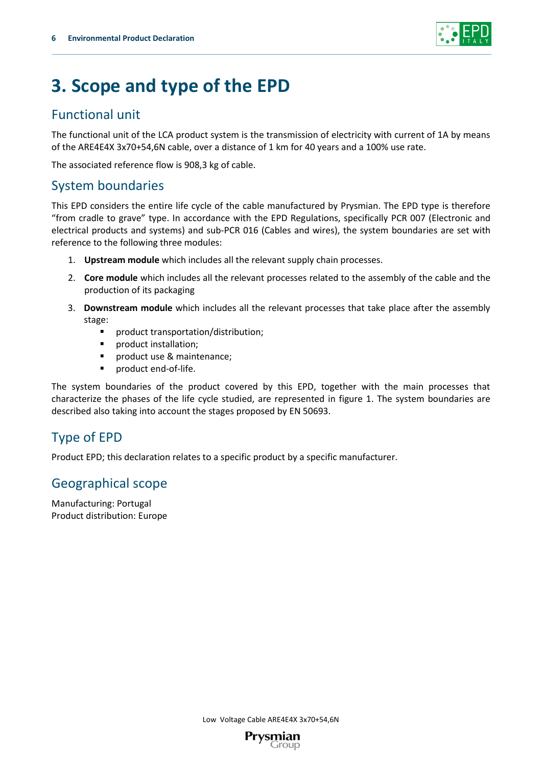

# **3. Scope and type of the EPD**

## Functional unit

The functional unit of the LCA product system is the transmission of electricity with current of 1A by means of the ARE4E4X 3x70+54,6N cable, over a distance of 1 km for 40 years and a 100% use rate.

The associated reference flow is 908,3 kg of cable.

## System boundaries

This EPD considers the entire life cycle of the cable manufactured by Prysmian. The EPD type is therefore "from cradle to grave" type. In accordance with the EPD Regulations, specifically PCR 007 (Electronic and electrical products and systems) and sub-PCR 016 (Cables and wires), the system boundaries are set with reference to the following three modules:

- 1. **Upstream module** which includes all the relevant supply chain processes.
- 2. **Core module** which includes all the relevant processes related to the assembly of the cable and the production of its packaging
- 3. **Downstream module** which includes all the relevant processes that take place after the assembly stage:
	- product transportation/distribution;
	- product installation;
	- product use & maintenance;
	- product end-of-life.

The system boundaries of the product covered by this EPD, together with the main processes that characterize the phases of the life cycle studied, are represented in figure 1. The system boundaries are described also taking into account the stages proposed by EN 50693.

## Type of EPD

Product EPD; this declaration relates to a specific product by a specific manufacturer.

## Geographical scope

Manufacturing: Portugal Product distribution: Europe

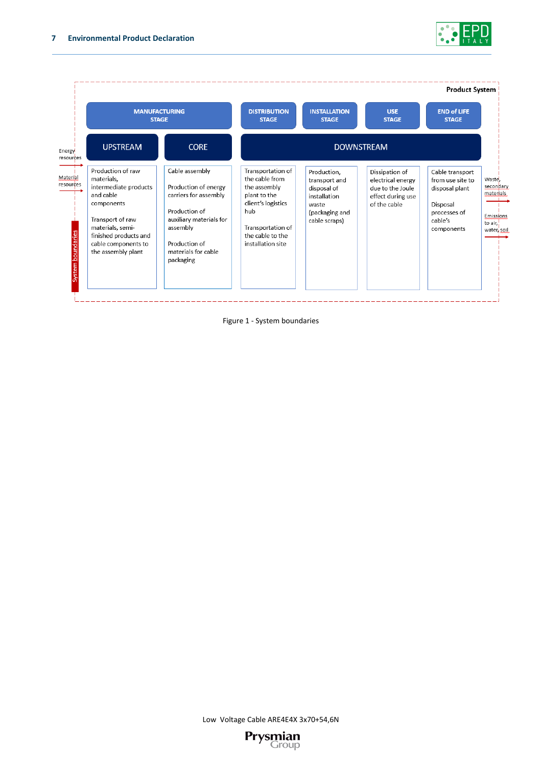



Figure 1 - System boundaries

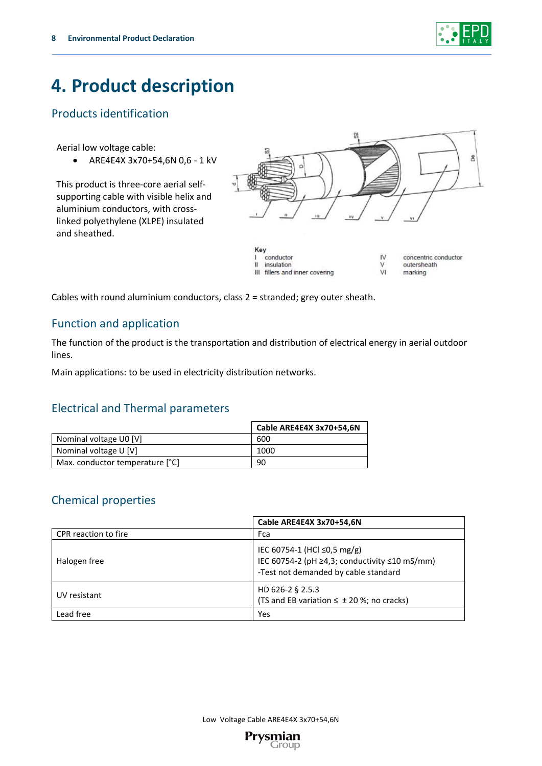

# **4. Product description**

## Products identification

Aerial low voltage cable:

• ARE4E4X 3x70+54,6N 0,6 - 1 kV

This product is three-core aerial selfsupporting cable with visible helix and aluminium conductors, with crosslinked polyethylene (XLPE) insulated and sheathed.



 $\vee$ 

 $VI$ 

III fillers and inner covering

concentric conductor outersheath marking

Cables with round aluminium conductors, class 2 = stranded; grey outer sheath.

## Function and application

The function of the product is the transportation and distribution of electrical energy in aerial outdoor lines.

 $\mathbf{u}$ 

insulation

Main applications: to be used in electricity distribution networks.

## Electrical and Thermal parameters

|                                 | Cable ARE4E4X 3x70+54.6N |
|---------------------------------|--------------------------|
| Nominal voltage U0 [V]          | 600                      |
| Nominal voltage U [V]           | 1000                     |
| Max. conductor temperature [°C] | 90                       |

## Chemical properties

|                      | Cable ARE4E4X 3x70+54,6N                                                                                             |
|----------------------|----------------------------------------------------------------------------------------------------------------------|
| CPR reaction to fire | Fca                                                                                                                  |
| Halogen free         | IEC 60754-1 (HCl ≤0,5 mg/g)<br>IEC 60754-2 (pH ≥4,3; conductivity ≤10 mS/mm)<br>-Test not demanded by cable standard |
| UV resistant         | HD 626-2 § 2.5.3<br>(TS and EB variation $\leq \pm 20$ %; no cracks)                                                 |
| Lead free            | Yes                                                                                                                  |

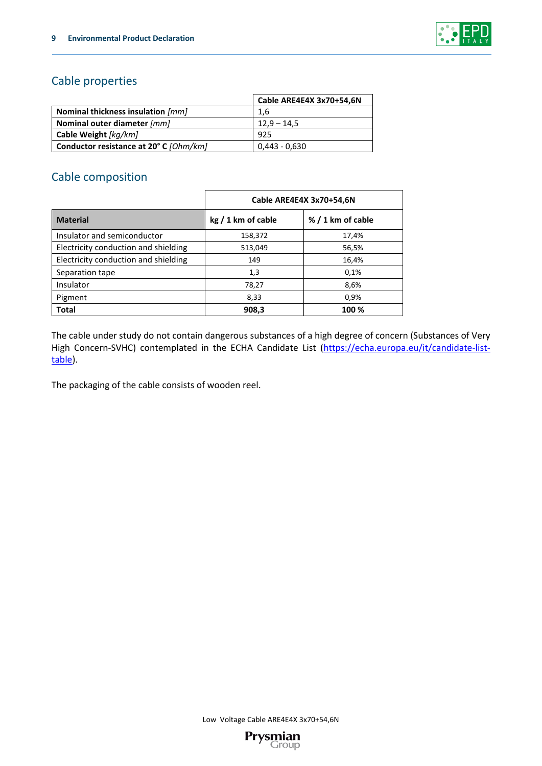

## Cable properties

|                                        | Cable ARE4E4X 3x70+54,6N |
|----------------------------------------|--------------------------|
| Nominal thickness insulation [mm]      | 1.6                      |
| Nominal outer diameter [mm]            | $12,9 - 14,5$            |
| Cable Weight [kg/km]                   | 925                      |
| Conductor resistance at 20° C [Ohm/km] | 0,443 - 0,630            |

## Cable composition

|                                      |                    | Cable ARE4E4X 3x70+54,6N |
|--------------------------------------|--------------------|--------------------------|
| <b>Material</b>                      | $kg/1$ km of cable | %/1 km of cable          |
| Insulator and semiconductor          | 158,372            | 17,4%                    |
| Electricity conduction and shielding | 513,049            | 56,5%                    |
| Electricity conduction and shielding | 149                | 16,4%                    |
| Separation tape                      | 1,3                | 0,1%                     |
| Insulator                            | 78,27              | 8,6%                     |
| Pigment                              | 8,33               | 0,9%                     |
| <b>Total</b>                         | 908,3              | 100 %                    |

The cable under study do not contain dangerous substances of a high degree of concern (Substances of Very High Concern-SVHC) contemplated in the ECHA Candidate List [\(https://echa.europa.eu/it/candidate-list](https://echa.europa.eu/it/candidate-list-table)[table\)](https://echa.europa.eu/it/candidate-list-table).

The packaging of the cable consists of wooden reel.

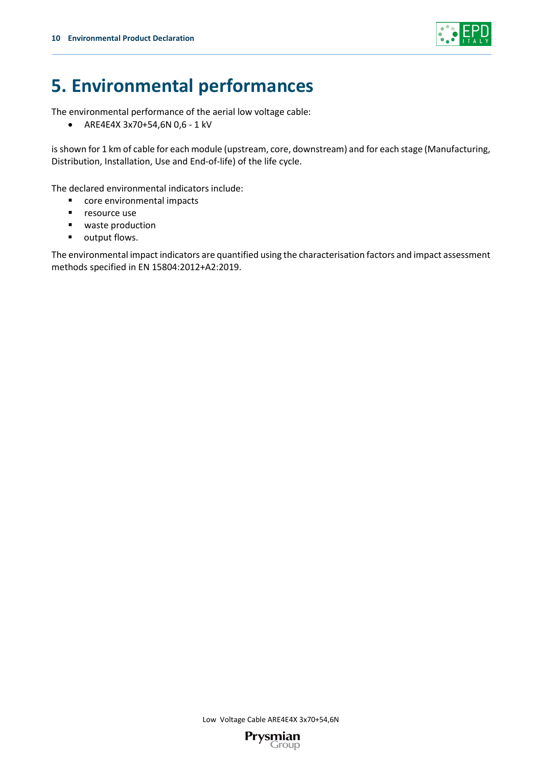

# **5. Environmental performances**

The environmental performance of the aerial low voltage cable:

• ARE4E4X 3x70+54,6N 0,6 - 1 kV

is shown for 1 km of cable for each module (upstream, core, downstream) and for each stage (Manufacturing, Distribution, Installation, Use and End-of-life) of the life cycle.

The declared environmental indicators include:

- core environmental impacts
- resource use
- waste production
- output flows.

The environmental impact indicators are quantified using the characterisation factors and impact assessment methods specified in EN 15804:2012+A2:2019.

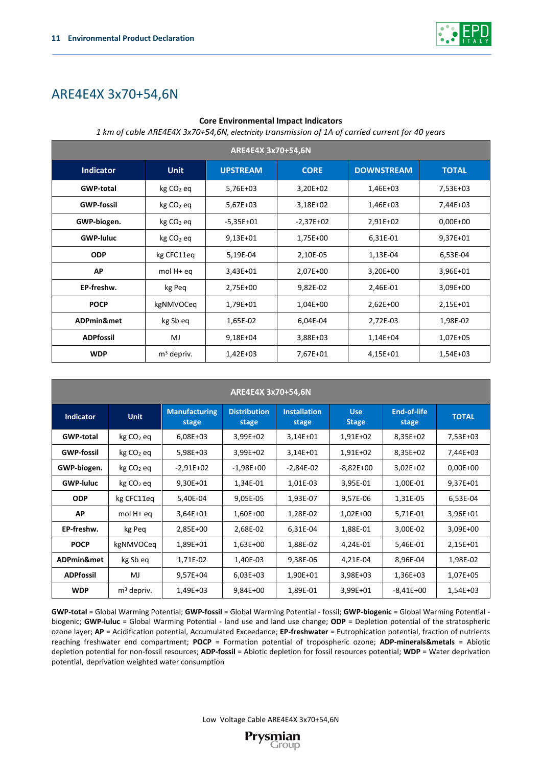

## ARE4E4X 3x70+54,6N

#### **Core Environmental Impact Indicators**

*1 km of cable ARE4E4X 3x70+54,6N, electricity transmission of 1A of carried current for 40 years*

| ARE4E4X 3x70+54,6N                                                                                     |              |              |             |            |              |  |  |
|--------------------------------------------------------------------------------------------------------|--------------|--------------|-------------|------------|--------------|--|--|
| <b>DOWNSTREAM</b><br><b>Indicator</b><br><b>UPSTREAM</b><br><b>CORE</b><br><b>TOTAL</b><br><b>Unit</b> |              |              |             |            |              |  |  |
| <b>GWP-total</b>                                                                                       | $kg CO2$ eq  | 5,76E+03     | $3,20E+02$  | 1,46E+03   | 7,53E+03     |  |  |
| <b>GWP-fossil</b>                                                                                      | $kg CO2$ eq  | $5,67E+03$   | $3,18E+02$  | 1,46E+03   | 7,44E+03     |  |  |
| GWP-biogen.                                                                                            | $kg CO2$ eq  | $-5,35E+01$  | $-2,37E+02$ | 2,91E+02   | $0.00E + 00$ |  |  |
| <b>GWP-luluc</b>                                                                                       | $kg CO2$ eq  | $9,13E+01$   | 1,75E+00    | 6,31E-01   | 9,37E+01     |  |  |
| <b>ODP</b>                                                                                             | kg CFC11eq   | 5,19E-04     | 2,10E-05    | 1,13E-04   | 6,53E-04     |  |  |
| AP                                                                                                     | mol $H+eq$   | $3,43E+01$   | 2,07E+00    | $3,20E+00$ | 3,96E+01     |  |  |
| EP-freshw.                                                                                             | kg Peq       | 2,75E+00     | 9,82E-02    | 2,46E-01   | 3,09E+00     |  |  |
| <b>POCP</b>                                                                                            | kgNMVOCeq    | 1,79E+01     | $1,04E+00$  | $2,62E+00$ | 2,15E+01     |  |  |
| ADPmin&met                                                                                             | kg Sb eq     | 1,65E-02     | 6,04E-04    | 2,72E-03   | 1,98E-02     |  |  |
| <b>ADPfossil</b>                                                                                       | MJ           | $9,18E + 04$ | 3,88E+03    | 1,14E+04   | 1,07E+05     |  |  |
| <b>WDP</b>                                                                                             | $m3$ depriv. | $1,42E+03$   | 7,67E+01    | 4,15E+01   | 1,54E+03     |  |  |

| ARE4E4X 3x70+54,6N |              |                               |                              |                              |                            |                             |              |
|--------------------|--------------|-------------------------------|------------------------------|------------------------------|----------------------------|-----------------------------|--------------|
| <b>Indicator</b>   | <b>Unit</b>  | <b>Manufacturing</b><br>stage | <b>Distribution</b><br>stage | <b>Installation</b><br>stage | <b>Use</b><br><b>Stage</b> | <b>End-of-life</b><br>stage | <b>TOTAL</b> |
| <b>GWP-total</b>   | $kg CO2$ eq  | 6,08E+03                      | 3,99E+02                     | $3,14E+01$                   | 1,91E+02                   | 8,35E+02                    | 7,53E+03     |
| <b>GWP-fossil</b>  | $kg CO2$ eq  | 5,98E+03                      | 3,99E+02                     | $3,14E+01$                   | 1,91E+02                   | 8,35E+02                    | 7,44E+03     |
| GWP-biogen.        | $kg CO2$ eq  | $-2,91E+02$                   | $-1,98E+00$                  | $-2,84E-02$                  | $-8,82E+00$                | $3,02E+02$                  | $0.00E + 00$ |
| <b>GWP-luluc</b>   | $kg CO2$ eq  | 9,30E+01                      | 1,34E-01                     | 1,01E-03                     | 3,95E-01                   | 1,00E-01                    | 9,37E+01     |
| <b>ODP</b>         | kg CFC11eq   | 5,40E-04                      | 9,05E-05                     | 1,93E-07                     | 9,57E-06                   | 1,31E-05                    | 6,53E-04     |
| AP                 | $mol H+eq$   | $3,64E + 01$                  | 1,60E+00                     | 1,28E-02                     | $1,02E+00$                 | 5,71E-01                    | 3,96E+01     |
| EP-freshw.         | kg Peq       | 2,85E+00                      | 2,68E-02                     | 6,31E-04                     | 1,88E-01                   | 3,00E-02                    | $3,09E+00$   |
| <b>POCP</b>        | kgNMVOCeq    | 1,89E+01                      | 1,63E+00                     | 1,88E-02                     | 4,24E-01                   | 5,46E-01                    | 2,15E+01     |
| ADPmin&met         | kg Sb eq     | 1,71E-02                      | 1,40E-03                     | 9,38E-06                     | 4,21E-04                   | 8,96E-04                    | 1,98E-02     |
| <b>ADPfossil</b>   | MJ           | 9,57E+04                      | $6,03E+03$                   | 1,90E+01                     | 3,98E+03                   | 1,36E+03                    | 1,07E+05     |
| <b>WDP</b>         | $m3$ depriv. | 1,49E+03                      | $9,84E+00$                   | 1,89E-01                     | 3,99E+01                   | $-8,41E+00$                 | 1,54E+03     |

**GWP-total** = Global Warming Potential; **GWP-fossil** = Global Warming Potential - fossil; **GWP-biogenic** = Global Warming Potential biogenic; **GWP-luluc** = Global Warming Potential - land use and land use change; **ODP** = Depletion potential of the stratospheric ozone layer; **AP** = Acidification potential, Accumulated Exceedance; **EP-freshwater** = Eutrophication potential, fraction of nutrients reaching freshwater end compartment; **POCP** = Formation potential of tropospheric ozone; **ADP-minerals&metals** = Abiotic depletion potential for non-fossil resources; **ADP-fossil** = Abiotic depletion for fossil resources potential; **WDP** = Water deprivation potential, deprivation weighted water consumption

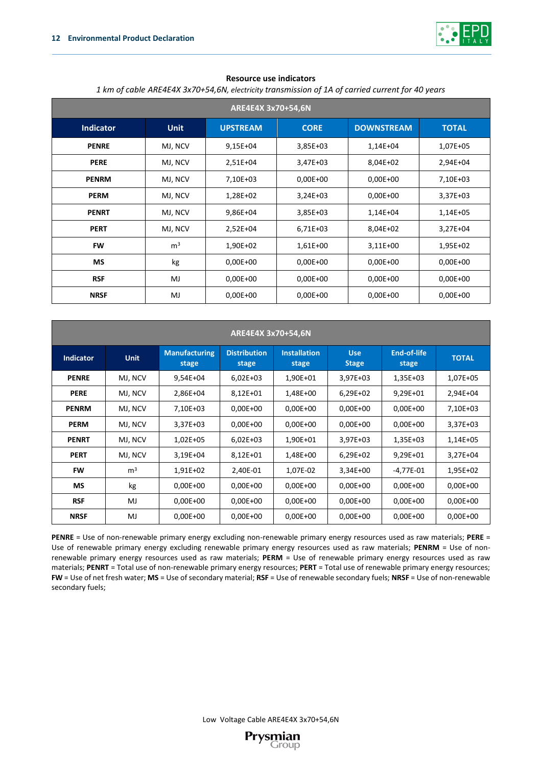

#### **Resource use indicators**

| 1 km of cable ARE4E4X 3x70+54,6N, electricity transmission of 1A of carried current for 40 years |  |
|--------------------------------------------------------------------------------------------------|--|
|                                                                                                  |  |

| ARE4E4X 3x70+54,6N |                |              |            |            |            |  |
|--------------------|----------------|--------------|------------|------------|------------|--|
| <b>Indicator</b>   | <b>Unit</b>    | <b>TOTAL</b> |            |            |            |  |
| <b>PENRE</b>       | MJ, NCV        | $9,15E+04$   | $3,85E+03$ | 1,14E+04   | 1,07E+05   |  |
| <b>PERE</b>        | MJ, NCV        | 2,51E+04     | $3,47E+03$ | 8,04E+02   | 2,94E+04   |  |
| <b>PENRM</b>       | MJ, NCV        | 7,10E+03     | $0,00E+00$ | $0,00E+00$ | 7,10E+03   |  |
| <b>PERM</b>        | MJ, NCV        | 1,28E+02     | $3,24E+03$ | $0,00E+00$ | $3,37E+03$ |  |
| <b>PENRT</b>       | MJ, NCV        | 9,86E+04     | $3,85E+03$ | 1,14E+04   | 1,14E+05   |  |
| <b>PERT</b>        | MJ, NCV        | $2,52E+04$   | 6,71E+03   | 8,04E+02   | $3,27E+04$ |  |
| <b>FW</b>          | m <sup>3</sup> | 1,90E+02     | 1,61E+00   | $3,11E+00$ | 1,95E+02   |  |
| <b>MS</b>          | kg             | $0,00E+00$   | $0,00E+00$ | $0,00E+00$ | $0,00E+00$ |  |
| <b>RSF</b>         | MJ             | $0,00E+00$   | $0,00E+00$ | $0,00E+00$ | $0,00E+00$ |  |
| <b>NRSF</b>        | MJ             | $0,00E+00$   | $0,00E+00$ | $0,00E+00$ | $0,00E+00$ |  |

| ARE4E4X 3x70+54,6N |                |                               |                              |                              |                            |                      |              |
|--------------------|----------------|-------------------------------|------------------------------|------------------------------|----------------------------|----------------------|--------------|
| <b>Indicator</b>   | <b>Unit</b>    | <b>Manufacturing</b><br>stage | <b>Distribution</b><br>stage | <b>Installation</b><br>stage | <b>Use</b><br><b>Stage</b> | End-of-life<br>stage | <b>TOTAL</b> |
| <b>PENRE</b>       | MJ, NCV        | $9,54E+04$                    | $6,02E+03$                   | 1,90E+01                     | 3,97E+03                   | 1,35E+03             | 1,07E+05     |
| <b>PERE</b>        | MJ, NCV        | 2,86E+04                      | $8,12E+01$                   | 1,48E+00                     | $6,29E+02$                 | 9,29E+01             | 2,94E+04     |
| <b>PENRM</b>       | MJ, NCV        | 7,10E+03                      | $0,00E+00$                   | $0.00E + 00$                 | $0,00E+00$                 | $0,00E+00$           | 7,10E+03     |
| <b>PERM</b>        | MJ, NCV        | $3,37E+03$                    | $0.00E + 00$                 | $0.00E + 00$                 | $0,00E + 00$               | $0,00E+00$           | $3,37E+03$   |
| <b>PENRT</b>       | MJ, NCV        | $1,02E+05$                    | $6,02E+03$                   | 1,90E+01                     | $3,97E+03$                 | $1,35E+03$           | 1,14E+05     |
| <b>PERT</b>        | MJ, NCV        | $3,19E+04$                    | $8,12E+01$                   | 1,48E+00                     | $6,29E+02$                 | 9,29E+01             | $3.27E + 04$ |
| <b>FW</b>          | m <sup>3</sup> | 1,91E+02                      | 2,40E-01                     | 1,07E-02                     | $3,34E+00$                 | $-4,77E-01$          | 1,95E+02     |
| <b>MS</b>          | kg             | $0,00E+00$                    | $0,00E+00$                   | $0,00E + 00$                 | $0,00E+00$                 | $0,00E+00$           | $0.00E + 00$ |
| <b>RSF</b>         | MJ             | $0,00E+00$                    | $0,00E+00$                   | $0.00E + 00$                 | $0,00E+00$                 | $0,00E+00$           | $0.00E + 00$ |
| <b>NRSF</b>        | MJ             | $0,00E+00$                    | $0,00E+00$                   | $0.00E + 00$                 | 0,00E+00                   | $0,00E+00$           | $0.00E + 00$ |

**PENRE** = Use of non-renewable primary energy excluding non-renewable primary energy resources used as raw materials; **PERE** = Use of renewable primary energy excluding renewable primary energy resources used as raw materials; **PENRM** = Use of nonrenewable primary energy resources used as raw materials; **PERM** = Use of renewable primary energy resources used as raw materials; **PENRT** = Total use of non-renewable primary energy resources; **PERT** = Total use of renewable primary energy resources; **FW** = Use of net fresh water; **MS** = Use of secondary material; **RSF** = Use of renewable secondary fuels; **NRSF** = Use of non-renewable secondary fuels;

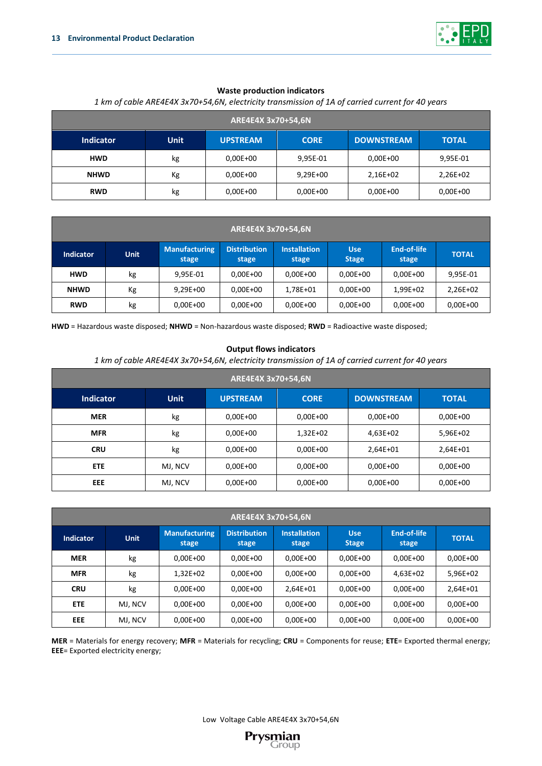

#### **Waste production indicators**

## **ARE4E4X 3x70+54,6N Indicator Unit UPSTREAM CORE DOWNSTREAM TOTAL HWD** kg 0,00E+00 9,95E-01 0,00E+00 9,95E-01 **NHWD** Kg 0,00E+00 9,29E+00 2,16E+02 2,26E+02 **RWD** kg 0,00E+00 0,00E+00 0,00E+00 0,00E+00

## *1 km of cable ARE4E4X 3x70+54,6N, electricity transmission of 1A of carried current for 40 years*

| ARE4E4X 3x70+54,6N |             |                               |                              |                              |                            |                      |              |
|--------------------|-------------|-------------------------------|------------------------------|------------------------------|----------------------------|----------------------|--------------|
| <b>Indicator</b>   | <b>Unit</b> | <b>Manufacturing</b><br>stage | <b>Distribution</b><br>stage | <b>Installation</b><br>stage | <b>Use</b><br><b>Stage</b> | End-of-life<br>stage | <b>TOTAL</b> |
| <b>HWD</b>         | kg          | 9,95E-01                      | $0,00E+00$                   | $0.00E + 00$                 | 0,00E+00                   | 0,00E+00             | 9,95E-01     |
| <b>NHWD</b>        | Кg          | $9,29E+00$                    | $0.00E + 00$                 | 1,78E+01                     | $0.00E + 00$               | 1,99E+02             | 2,26E+02     |
| <b>RWD</b>         | kg          | $0,00E+00$                    | $0.00E + 00$                 | $0,00E+00$                   | $0.00E + 00$               | $0,00E+00$           | $0.00E + 00$ |

**HWD** = Hazardous waste disposed; **NHWD** = Non-hazardous waste disposed; **RWD** = Radioactive waste disposed;

#### **Output flows indicators**

*1 km of cable ARE4E4X 3x70+54,6N, electricity transmission of 1A of carried current for 40 years*

| ARE4E4X 3x70+54,6N |             |                 |             |                   |              |  |
|--------------------|-------------|-----------------|-------------|-------------------|--------------|--|
| <b>Indicator</b>   | <b>Unit</b> | <b>UPSTREAM</b> | <b>CORE</b> | <b>DOWNSTREAM</b> | <b>TOTAL</b> |  |
| <b>MER</b>         | kg          | $0,00E+00$      | $0,00E+00$  | $0,00E + 00$      | $0,00E+00$   |  |
| <b>MFR</b>         | kg          | $0,00E+00$      | $1,32E+02$  | $4,63E+02$        | 5,96E+02     |  |
| <b>CRU</b>         | kg          | $0,00E+00$      | $0,00E+00$  | $2,64E+01$        | 2,64E+01     |  |
| ETE.               | MJ, NCV     | $0,00E+00$      | $0,00E+00$  | $0.00E + 00$      | $0,00E+00$   |  |
| EEE.               | MJ, NCV     | $0,00E+00$      | $0,00E+00$  | $0.00E + 00$      | $0,00E+00$   |  |

| ARE4E4X 3x70+54,6N |             |                               |                              |                              |                            |                      |              |
|--------------------|-------------|-------------------------------|------------------------------|------------------------------|----------------------------|----------------------|--------------|
| <b>Indicator</b>   | <b>Unit</b> | <b>Manufacturing</b><br>stage | <b>Distribution</b><br>stage | <b>Installation</b><br>stage | <b>Use</b><br><b>Stage</b> | End-of-life<br>stage | <b>TOTAL</b> |
| <b>MER</b>         | kg          | $0,00E+00$                    | $0,00E+00$                   | $0.00E + 00$                 | $0.00E + 00$               | $0.00E + 00$         | $0,00E+00$   |
| <b>MFR</b>         | kg          | $1,32E+02$                    | 0,00E+00                     | $0.00E + 00$                 | $0.00E + 00$               | $4.63E + 02$         | 5,96E+02     |
| <b>CRU</b>         | kg          | $0.00E + 00$                  | $0.00E + 00$                 | $2.64E + 01$                 | $0,00E+00$                 | $0.00E + 00$         | $2.64E + 01$ |
| <b>ETE</b>         | MJ, NCV     | $0.00E + 00$                  | $0.00E + 00$                 | $0.00E + 00$                 | $0.00E + 00$               | $0.00E + 00$         | $0.00E + 00$ |
| EEE                | MJ, NCV     | $0,00E+00$                    | $0,00E+00$                   | $0.00E + 00$                 | $0.00E + 00$               | $0.00E + 00$         | $0,00E+00$   |

**MER** = Materials for energy recovery; **MFR** = Materials for recycling; **CRU** = Components for reuse; **ETE**= Exported thermal energy; **EEE**= Exported electricity energy;

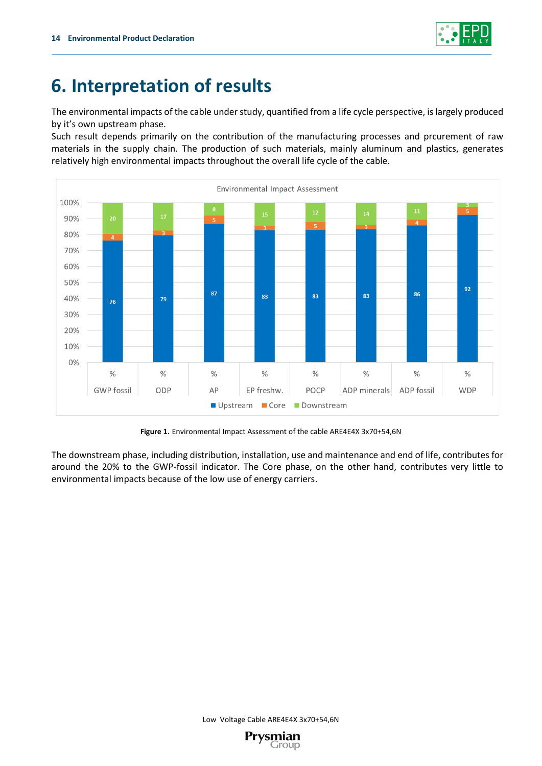

# **6. Interpretation of results**

The environmental impacts of the cable under study, quantified from a life cycle perspective, is largely produced by it's own upstream phase.

Such result depends primarily on the contribution of the manufacturing processes and prcurement of raw materials in the supply chain. The production of such materials, mainly aluminum and plastics, generates relatively high environmental impacts throughout the overall life cycle of the cable.



**Figure 1.** Environmental Impact Assessment of the cable ARE4E4X 3x70+54,6N

The downstream phase, including distribution, installation, use and maintenance and end of life, contributes for around the 20% to the GWP-fossil indicator. The Core phase, on the other hand, contributes very little to environmental impacts because of the low use of energy carriers.

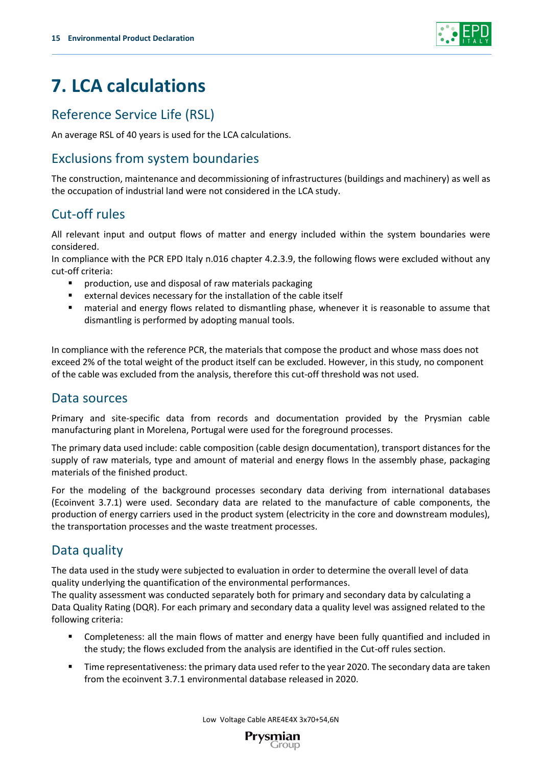

# **7. LCA calculations**

## Reference Service Life (RSL)

An average RSL of 40 years is used for the LCA calculations.

## Exclusions from system boundaries

The construction, maintenance and decommissioning of infrastructures (buildings and machinery) as well as the occupation of industrial land were not considered in the LCA study.

## Cut-off rules

All relevant input and output flows of matter and energy included within the system boundaries were considered.

In compliance with the PCR EPD Italy n.016 chapter 4.2.3.9, the following flows were excluded without any cut-off criteria:

- production, use and disposal of raw materials packaging
- external devices necessary for the installation of the cable itself
- material and energy flows related to dismantling phase, whenever it is reasonable to assume that dismantling is performed by adopting manual tools.

In compliance with the reference PCR, the materials that compose the product and whose mass does not exceed 2% of the total weight of the product itself can be excluded. However, in this study, no component of the cable was excluded from the analysis, therefore this cut-off threshold was not used.

## Data sources

Primary and site-specific data from records and documentation provided by the Prysmian cable manufacturing plant in Morelena, Portugal were used for the foreground processes.

The primary data used include: cable composition (cable design documentation), transport distances for the supply of raw materials, type and amount of material and energy flows In the assembly phase, packaging materials of the finished product.

For the modeling of the background processes secondary data deriving from international databases (Ecoinvent 3.7.1) were used. Secondary data are related to the manufacture of cable components, the production of energy carriers used in the product system (electricity in the core and downstream modules), the transportation processes and the waste treatment processes.

## Data quality

The data used in the study were subjected to evaluation in order to determine the overall level of data quality underlying the quantification of the environmental performances.

The quality assessment was conducted separately both for primary and secondary data by calculating a Data Quality Rating (DQR). For each primary and secondary data a quality level was assigned related to the following criteria:

- Completeness: all the main flows of matter and energy have been fully quantified and included in the study; the flows excluded from the analysis are identified in the Cut-off rules section.
- Time representativeness: the primary data used refer to the year 2020. The secondary data are taken from the ecoinvent 3.7.1 environmental database released in 2020.

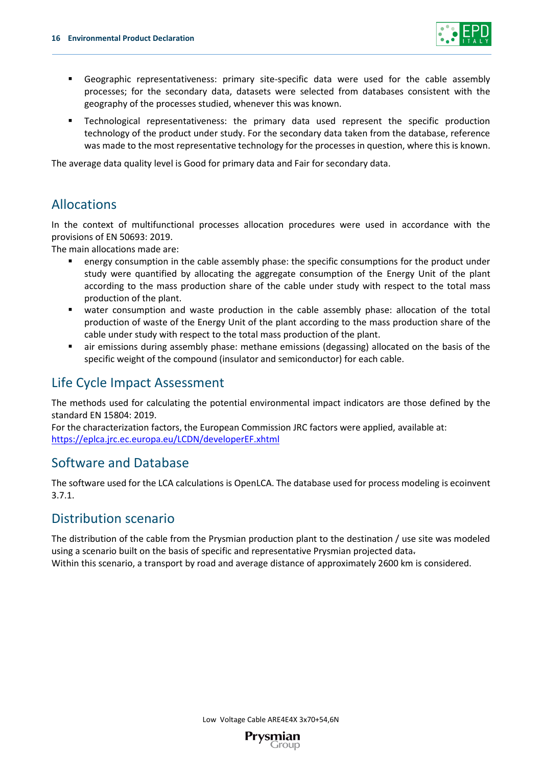

- Geographic representativeness: primary site-specific data were used for the cable assembly processes; for the secondary data, datasets were selected from databases consistent with the geography of the processes studied, whenever this was known.
- Technological representativeness: the primary data used represent the specific production technology of the product under study. For the secondary data taken from the database, reference was made to the most representative technology for the processes in question, where this is known.

The average data quality level is Good for primary data and Fair for secondary data.

## Allocations

In the context of multifunctional processes allocation procedures were used in accordance with the provisions of EN 50693: 2019.

The main allocations made are:

- **•** energy consumption in the cable assembly phase: the specific consumptions for the product under study were quantified by allocating the aggregate consumption of the Energy Unit of the plant according to the mass production share of the cable under study with respect to the total mass production of the plant.
- water consumption and waste production in the cable assembly phase: allocation of the total production of waste of the Energy Unit of the plant according to the mass production share of the cable under study with respect to the total mass production of the plant.
- air emissions during assembly phase: methane emissions (degassing) allocated on the basis of the specific weight of the compound (insulator and semiconductor) for each cable.

## Life Cycle Impact Assessment

The methods used for calculating the potential environmental impact indicators are those defined by the standard EN 15804: 2019.

For the characterization factors, the European Commission JRC factors were applied, available at: <https://eplca.jrc.ec.europa.eu/LCDN/developerEF.xhtml>

## Software and Database

The software used for the LCA calculations is OpenLCA. The database used for process modeling is ecoinvent 3.7.1.

## Distribution scenario

The distribution of the cable from the Prysmian production plant to the destination / use site was modeled using a scenario built on the basis of specific and representative Prysmian projected data. Within this scenario, a transport by road and average distance of approximately 2600 km is considered.

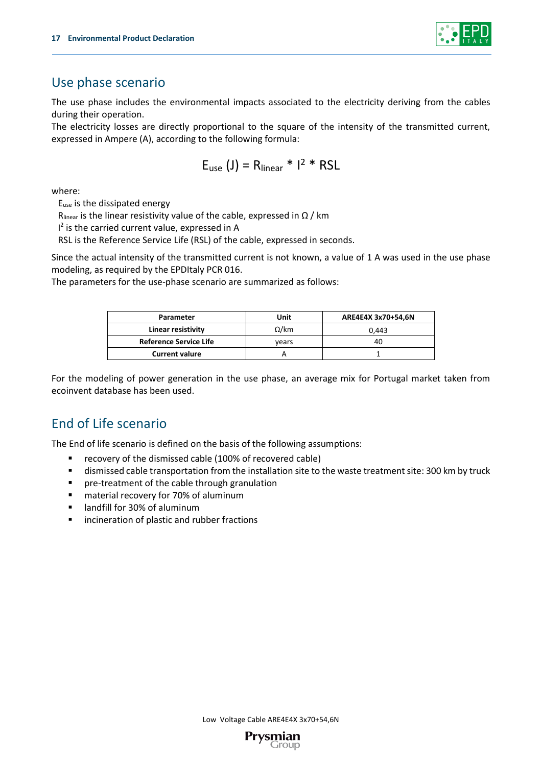

## Use phase scenario

The use phase includes the environmental impacts associated to the electricity deriving from the cables during their operation.

The electricity losses are directly proportional to the square of the intensity of the transmitted current, expressed in Ampere (A), according to the following formula:

$$
E_{use} (J) = R_{linear} * I^2 * RSL
$$

where:

Euse is the dissipated energy

R<sub>linear</sub> is the linear resistivity value of the cable, expressed in  $\Omega$  / km

I<sup>2</sup> is the carried current value, expressed in A

RSL is the Reference Service Life (RSL) of the cable, expressed in seconds.

Since the actual intensity of the transmitted current is not known, a value of 1 A was used in the use phase modeling, as required by the EPDItaly PCR 016.

The parameters for the use-phase scenario are summarized as follows:

| Parameter                     | Unit         | ARE4E4X 3x70+54,6N |  |
|-------------------------------|--------------|--------------------|--|
| Linear resistivity            | $\Omega$ /km | 0.443              |  |
| <b>Reference Service Life</b> | vears        | 40                 |  |
| <b>Current valure</b>         |              |                    |  |

For the modeling of power generation in the use phase, an average mix for Portugal market taken from ecoinvent database has been used.

## End of Life scenario

The End of life scenario is defined on the basis of the following assumptions:

- recovery of the dismissed cable (100% of recovered cable)
- dismissed cable transportation from the installation site to the waste treatment site: 300 km by truck
- pre-treatment of the cable through granulation
- material recovery for 70% of aluminum
- landfill for 30% of aluminum
- incineration of plastic and rubber fractions